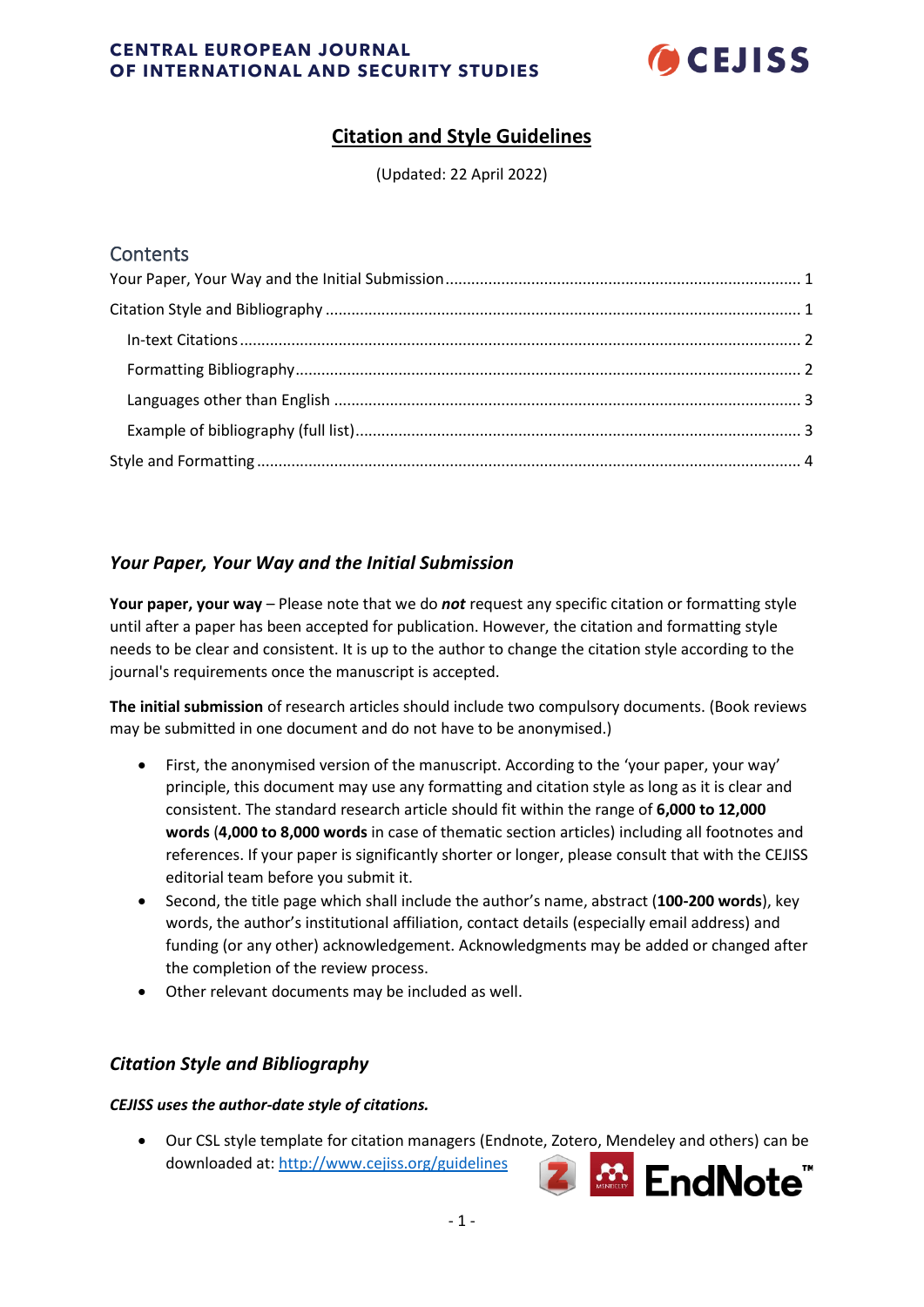

# **Citation and Style Guidelines**

(Updated: 22 April 2022)

## **Contents**

## <span id="page-0-0"></span>*Your Paper, Your Way and the Initial Submission*

**Your paper, your way** – Please note that we do *not* request any specific citation or formatting style until after a paper has been accepted for publication. However, the citation and formatting style needs to be clear and consistent. It is up to the author to change the citation style according to the journal's requirements once the manuscript is accepted.

**The initial submission** of research articles should include two compulsory documents. (Book reviews may be submitted in one document and do not have to be anonymised.)

- First, the anonymised version of the manuscript. According to the 'your paper, your way' principle, this document may use any formatting and citation style as long as it is clear and consistent. The standard research article should fit within the range of **6,000 to 12,000 words** (**4,000 to 8,000 words** in case of thematic section articles) including all footnotes and references. If your paper is significantly shorter or longer, please consult that with the CEJISS editorial team before you submit it.
- Second, the title page which shall include the author's name, abstract (**100-200 words**), key words, the author's institutional affiliation, contact details (especially email address) and funding (or any other) acknowledgement. Acknowledgments may be added or changed after the completion of the review process.
- Other relevant documents may be included as well.

## <span id="page-0-1"></span>*Citation Style and Bibliography*

### *CEJISS uses the author-date style of citations.*

• Our CSL style template for citation managers (Endnote, Zotero, Mendeley and others) can be downloaded at: <http://www.cejiss.org/guidelines>

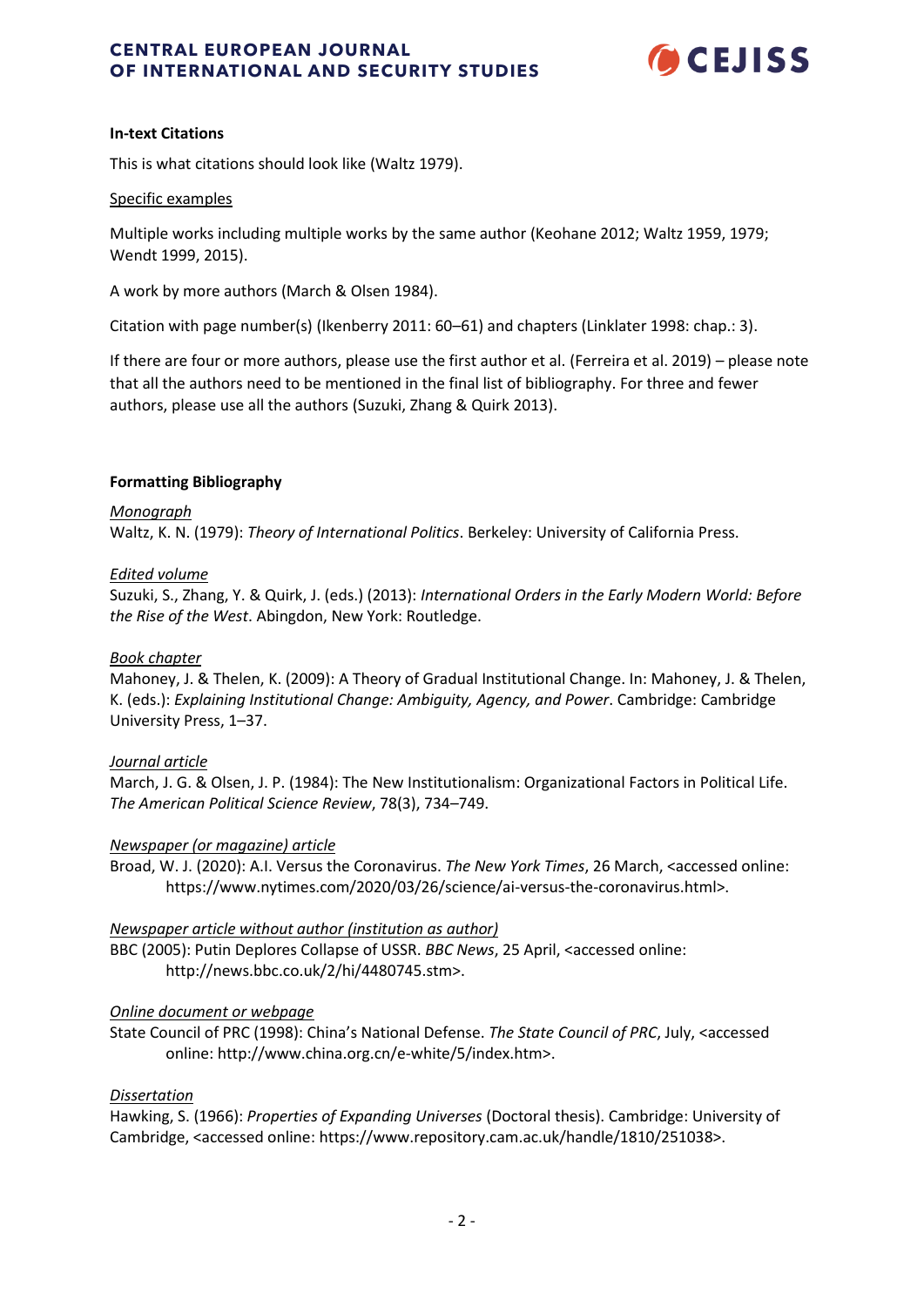## **CENTRAL EUROPEAN JOURNAL OF INTERNATIONAL AND SECURITY STUDIES**



#### <span id="page-1-0"></span>**In-text Citations**

This is what citations should look like (Waltz 1979).

#### Specific examples

Multiple works including multiple works by the same author (Keohane 2012; Waltz 1959, 1979; Wendt 1999, 2015).

A work by more authors (March & Olsen 1984).

Citation with page number(s) (Ikenberry 2011: 60–61) and chapters (Linklater 1998: chap.: 3).

If there are four or more authors, please use the first author et al. (Ferreira et al. 2019) – please note that all the authors need to be mentioned in the final list of bibliography. For three and fewer authors, please use all the authors (Suzuki, Zhang & Quirk 2013).

#### <span id="page-1-1"></span>**Formatting Bibliography**

*Monograph* Waltz, K. N. (1979): *Theory of International Politics*. Berkeley: University of California Press.

#### *Edited volume*

Suzuki, S., Zhang, Y. & Quirk, J. (eds.) (2013): *International Orders in the Early Modern World: Before the Rise of the West*. Abingdon, New York: Routledge.

#### *Book chapter*

Mahoney, J. & Thelen, K. (2009): A Theory of Gradual Institutional Change. In: Mahoney, J. & Thelen, K. (eds.): *Explaining Institutional Change: Ambiguity, Agency, and Power*. Cambridge: Cambridge University Press, 1–37.

### *Journal article*

March, J. G. & Olsen, J. P. (1984): The New Institutionalism: Organizational Factors in Political Life. *The American Political Science Review*, 78(3), 734–749.

#### *Newspaper (or magazine) article*

Broad, W. J. (2020): A.I. Versus the Coronavirus. *The New York Times*, 26 March, <accessed online: https://www.nytimes.com/2020/03/26/science/ai-versus-the-coronavirus.html>.

### *Newspaper article without author (institution as author)*

BBC (2005): Putin Deplores Collapse of USSR. *BBC News*, 25 April, <accessed online: http://news.bbc.co.uk/2/hi/4480745.stm>.

### *Online document or webpage*

State Council of PRC (1998): China's National Defense. *The State Council of PRC*, July, <accessed online: http://www.china.org.cn/e-white/5/index.htm>.

### *Dissertation*

Hawking, S. (1966): *Properties of Expanding Universes* (Doctoral thesis). Cambridge: University of Cambridge, <accessed online: https://www.repository.cam.ac.uk/handle/1810/251038>.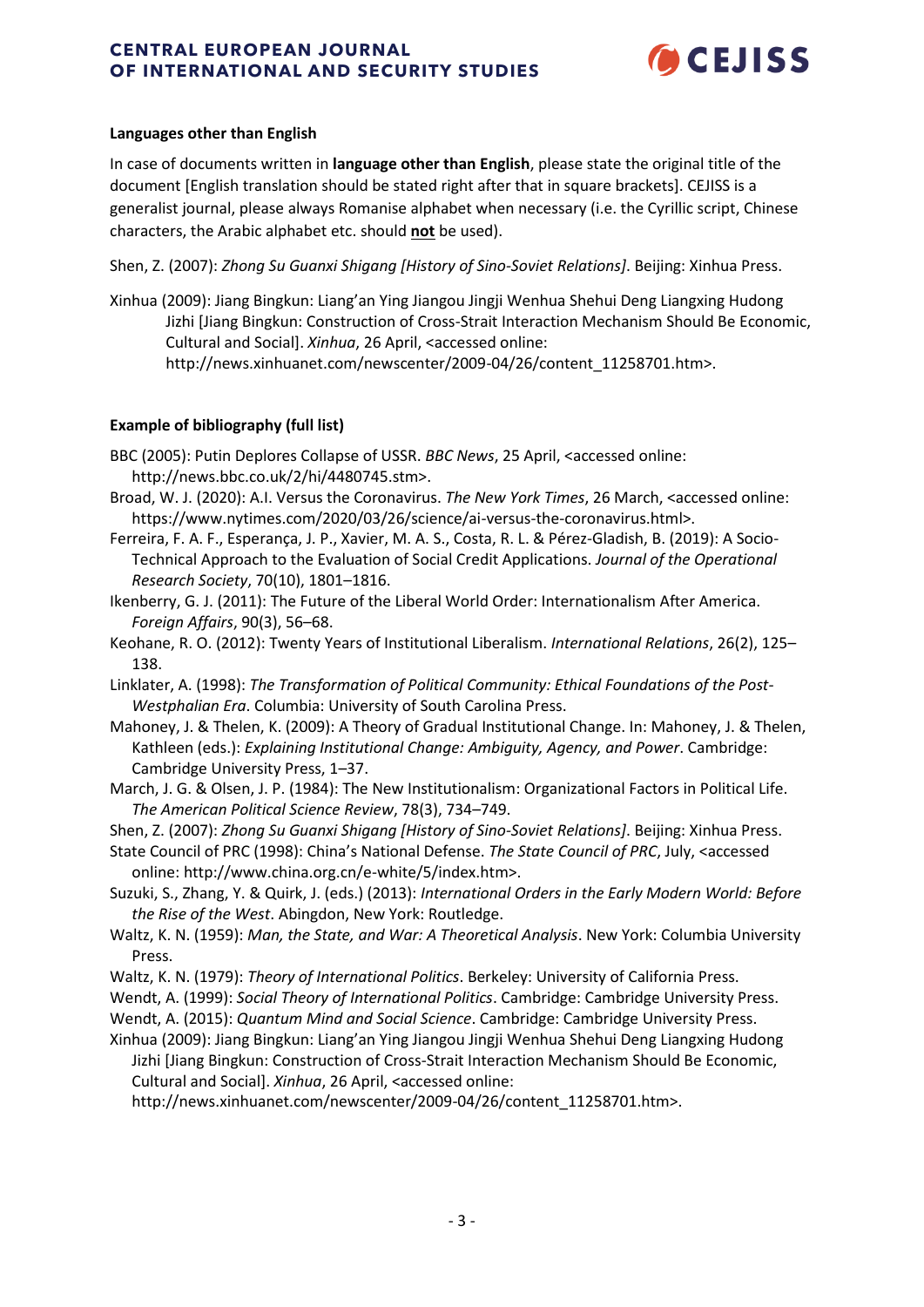## **CENTRAL EUROPEAN JOURNAL OF INTERNATIONAL AND SECURITY STUDIES**



#### <span id="page-2-0"></span>**Languages other than English**

In case of documents written in **language other than English**, please state the original title of the document [English translation should be stated right after that in square brackets]. CEJISS is a generalist journal, please always Romanise alphabet when necessary (i.e. the Cyrillic script, Chinese characters, the Arabic alphabet etc. should **not** be used).

Shen, Z. (2007): *Zhong Su Guanxi Shigang [History of Sino-Soviet Relations]*. Beijing: Xinhua Press.

Xinhua (2009): Jiang Bingkun: Liang'an Ying Jiangou Jingji Wenhua Shehui Deng Liangxing Hudong Jizhi [Jiang Bingkun: Construction of Cross-Strait Interaction Mechanism Should Be Economic, Cultural and Social]. *Xinhua*, 26 April, <accessed online: http://news.xinhuanet.com/newscenter/2009-04/26/content\_11258701.htm>.

### <span id="page-2-1"></span>**Example of bibliography (full list)**

- BBC (2005): Putin Deplores Collapse of USSR. *BBC News*, 25 April, <accessed online: http://news.bbc.co.uk/2/hi/4480745.stm>.
- Broad, W. J. (2020): A.I. Versus the Coronavirus. *The New York Times*, 26 March, <accessed online: https://www.nytimes.com/2020/03/26/science/ai-versus-the-coronavirus.html>.
- Ferreira, F. A. F., Esperança, J. P., Xavier, M. A. S., Costa, R. L. & Pérez-Gladish, B. (2019): A Socio-Technical Approach to the Evaluation of Social Credit Applications. *Journal of the Operational Research Society*, 70(10), 1801–1816.
- Ikenberry, G. J. (2011): The Future of the Liberal World Order: Internationalism After America. *Foreign Affairs*, 90(3), 56–68.
- Keohane, R. O. (2012): Twenty Years of Institutional Liberalism. *International Relations*, 26(2), 125– 138.
- Linklater, A. (1998): *The Transformation of Political Community: Ethical Foundations of the Post-Westphalian Era*. Columbia: University of South Carolina Press.
- Mahoney, J. & Thelen, K. (2009): A Theory of Gradual Institutional Change. In: Mahoney, J. & Thelen, Kathleen (eds.): *Explaining Institutional Change: Ambiguity, Agency, and Power*. Cambridge: Cambridge University Press, 1–37.
- March, J. G. & Olsen, J. P. (1984): The New Institutionalism: Organizational Factors in Political Life. *The American Political Science Review*, 78(3), 734–749.

Shen, Z. (2007): *Zhong Su Guanxi Shigang [History of Sino-Soviet Relations]*. Beijing: Xinhua Press.

- State Council of PRC (1998): China's National Defense. *The State Council of PRC*, July, <accessed online: http://www.china.org.cn/e-white/5/index.htm>.
- Suzuki, S., Zhang, Y. & Quirk, J. (eds.) (2013): *International Orders in the Early Modern World: Before the Rise of the West*. Abingdon, New York: Routledge.
- Waltz, K. N. (1959): *Man, the State, and War: A Theoretical Analysis*. New York: Columbia University Press.
- Waltz, K. N. (1979): *Theory of International Politics*. Berkeley: University of California Press.
- Wendt, A. (1999): *Social Theory of International Politics*. Cambridge: Cambridge University Press.
- Wendt, A. (2015): *Quantum Mind and Social Science*. Cambridge: Cambridge University Press.
- Xinhua (2009): Jiang Bingkun: Liang'an Ying Jiangou Jingji Wenhua Shehui Deng Liangxing Hudong Jizhi [Jiang Bingkun: Construction of Cross-Strait Interaction Mechanism Should Be Economic, Cultural and Social]. *Xinhua*, 26 April, <accessed online:

http://news.xinhuanet.com/newscenter/2009-04/26/content\_11258701.htm>.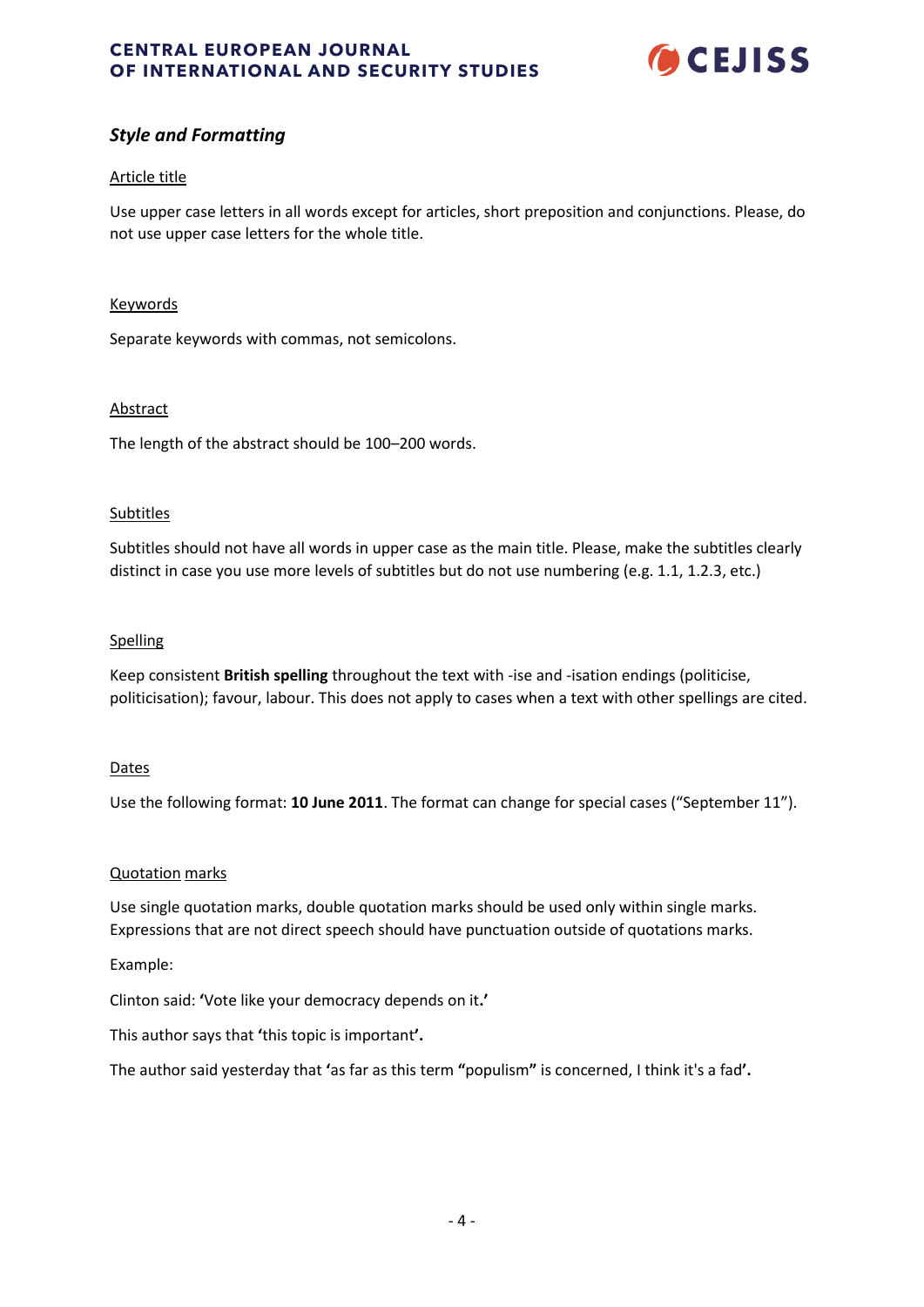

## <span id="page-3-0"></span>*Style and Formatting*

#### Article title

Use upper case letters in all words except for articles, short preposition and conjunctions. Please, do not use upper case letters for the whole title.

#### Keywords

Separate keywords with commas, not semicolons.

#### Abstract

The length of the abstract should be 100–200 words.

#### Subtitles

Subtitles should not have all words in upper case as the main title. Please, make the subtitles clearly distinct in case you use more levels of subtitles but do not use numbering (e.g. 1.1, 1.2.3, etc.)

#### Spelling

Keep consistent **British spelling** throughout the text with -ise and -isation endings (politicise, politicisation); favour, labour. This does not apply to cases when a text with other spellings are cited.

#### Dates

Use the following format: **10 June 2011**. The format can change for special cases ("September 11").

#### Quotation marks

Use single quotation marks, double quotation marks should be used only within single marks. Expressions that are not direct speech should have punctuation outside of quotations marks.

Example:

Clinton said: **'**Vote like your democracy depends on it**.'**

This author says that **'**this topic is important**'.**

The author said yesterday that **'**as far as this term **"**populism**"** is concerned, I think it's a fad**'.**